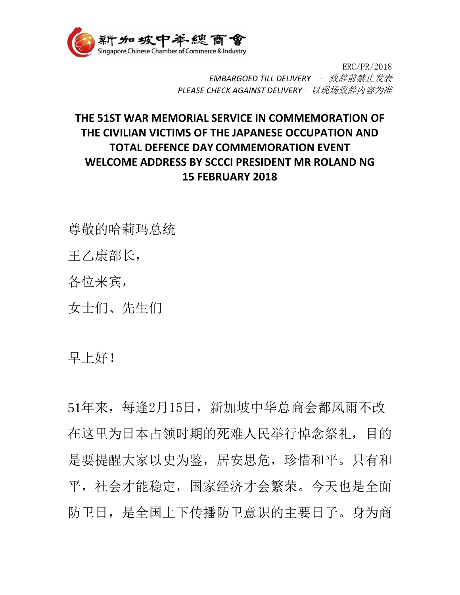

ERC/PR/2018 *EMBARGOED TILL DELIVERY* – 致辞前禁止发表 *PLEASE CHECK AGAINST DELIVERY*- 以现场致辞内容为准

## **THE 51ST WAR MEMORIAL SERVICE IN COMMEMORATION OF THE CIVILIAN VICTIMS OF THE JAPANESE OCCUPATION AND TOTAL DEFENCE DAY COMMEMORATION EVENT WELCOME ADDRESS BY SCCCI PRESIDENT MR ROLAND NG 15 FEBRUARY 2018**

尊敬的哈莉玛总统

王乙康部长,

各位来宾,

女士们、先生们

早上好!

51年来,每逢2月15日,新加坡中华总商会都风雨不改 在这里为日本占领时期的死难人民举行悼念祭礼,目的 是要提醒大家以史为鉴, 居安思危, 珍惜和平。只有和 平,社会才能稳定,国家经济才会繁荣。今天也是全面 防卫日,是全国上下传播防卫意识的主要日子。身为商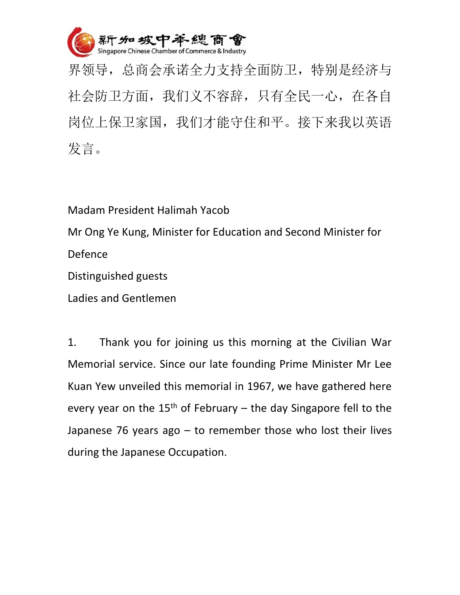

界领导,总商会承诺全力支持全面防卫,特别是经济与 社会防卫方面,我们义不容辞,只有全民一心,在各自 岗位上保卫家国,我们才能守住和平。接下来我以英语 发言。

Madam President Halimah Yacob

Mr Ong Ye Kung, Minister for Education and Second Minister for Defence

Distinguished guests

Ladies and Gentlemen

1. Thank you for joining us this morning at the Civilian War Memorial service. Since our late founding Prime Minister Mr Lee Kuan Yew unveiled this memorial in 1967, we have gathered here every year on the  $15<sup>th</sup>$  of February – the day Singapore fell to the Japanese 76 years ago – to remember those who lost their lives during the Japanese Occupation.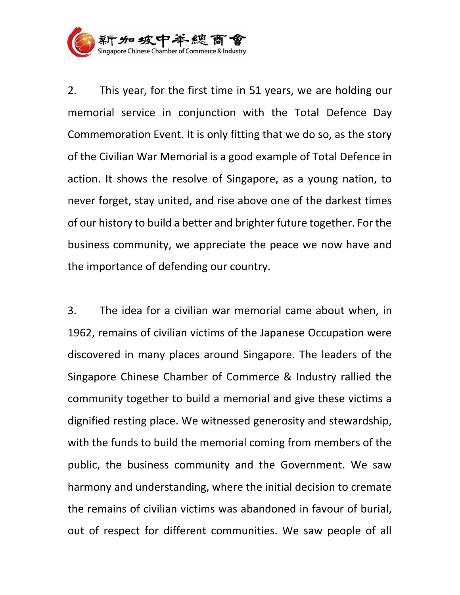

2. This year, for the first time in 51 years, we are holding our memorial service in conjunction with the Total Defence Day Commemoration Event. It is only fitting that we do so, as the story of the Civilian War Memorial is a good example of Total Defence in action. It shows the resolve of Singapore, as a young nation, to never forget, stay united, and rise above one of the darkest times of our history to build a better and brighter future together. For the business community, we appreciate the peace we now have and the importance of defending our country.

3. The idea for a civilian war memorial came about when, in 1962, remains of civilian victims of the Japanese Occupation were discovered in many places around Singapore. The leaders of the Singapore Chinese Chamber of Commerce & Industry rallied the community together to build a memorial and give these victims a dignified resting place. We witnessed generosity and stewardship, with the funds to build the memorial coming from members of the public, the business community and the Government. We saw harmony and understanding, where the initial decision to cremate the remains of civilian victims was abandoned in favour of burial, out of respect for different communities. We saw people of all